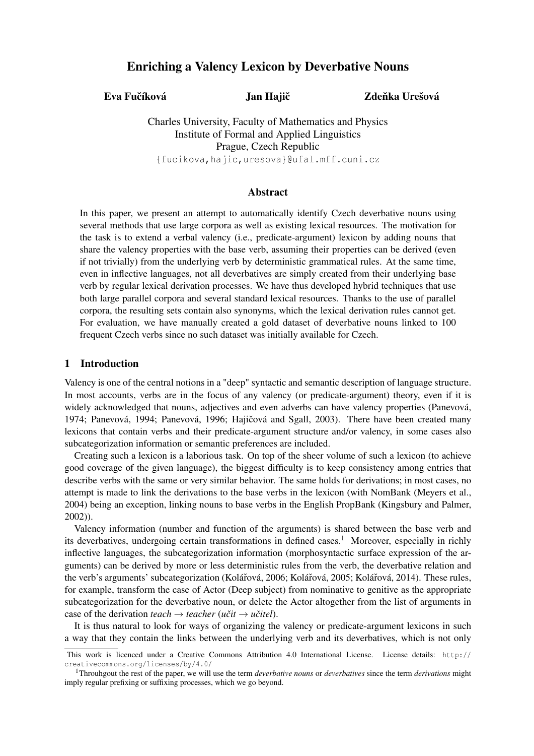# Enriching a Valency Lexicon by Deverbative Nouns

Eva Fučíková Jan Hajič

Zdeňka Urešová

Charles University, Faculty of Mathematics and Physics Institute of Formal and Applied Linguistics Prague, Czech Republic {fucikova,hajic,uresova}@ufal.mff.cuni.cz

## Abstract

In this paper, we present an attempt to automatically identify Czech deverbative nouns using several methods that use large corpora as well as existing lexical resources. The motivation for the task is to extend a verbal valency (i.e., predicate-argument) lexicon by adding nouns that share the valency properties with the base verb, assuming their properties can be derived (even if not trivially) from the underlying verb by deterministic grammatical rules. At the same time, even in inflective languages, not all deverbatives are simply created from their underlying base verb by regular lexical derivation processes. We have thus developed hybrid techniques that use both large parallel corpora and several standard lexical resources. Thanks to the use of parallel corpora, the resulting sets contain also synonyms, which the lexical derivation rules cannot get. For evaluation, we have manually created a gold dataset of deverbative nouns linked to 100 frequent Czech verbs since no such dataset was initially available for Czech.

## 1 Introduction

Valency is one of the central notions in a "deep" syntactic and semantic description of language structure. In most accounts, verbs are in the focus of any valency (or predicate-argument) theory, even if it is widely acknowledged that nouns, adjectives and even adverbs can have valency properties (Panevová, 1974; Panevová, 1994; Panevová, 1996; Hajičová and Sgall, 2003). There have been created many lexicons that contain verbs and their predicate-argument structure and/or valency, in some cases also subcategorization information or semantic preferences are included.

Creating such a lexicon is a laborious task. On top of the sheer volume of such a lexicon (to achieve good coverage of the given language), the biggest difficulty is to keep consistency among entries that describe verbs with the same or very similar behavior. The same holds for derivations; in most cases, no attempt is made to link the derivations to the base verbs in the lexicon (with NomBank (Meyers et al., 2004) being an exception, linking nouns to base verbs in the English PropBank (Kingsbury and Palmer, 2002)).

Valency information (number and function of the arguments) is shared between the base verb and its deverbatives, undergoing certain transformations in defined cases.<sup>1</sup> Moreover, especially in richly inflective languages, the subcategorization information (morphosyntactic surface expression of the arguments) can be derived by more or less deterministic rules from the verb, the deverbative relation and the verb's arguments' subcategorization (Kolářová, 2006; Kolářová, 2005; Kolářová, 2014). These rules, for example, transform the case of Actor (Deep subject) from nominative to genitive as the appropriate subcategorization for the deverbative noun, or delete the Actor altogether from the list of arguments in case of the derivation *teach*  $\rightarrow$  *teacher* (*učit*  $\rightarrow$  *učitel*).

It is thus natural to look for ways of organizing the valency or predicate-argument lexicons in such a way that they contain the links between the underlying verb and its deverbatives, which is not only

This work is licenced under a Creative Commons Attribution 4.0 International License. License details: http:// creativecommons.org/licenses/by/4.0/

<sup>1</sup>Throuhgout the rest of the paper, we will use the term *deverbative nouns* or *deverbatives* since the term *derivations* might imply regular prefixing or suffixing processes, which we go beyond.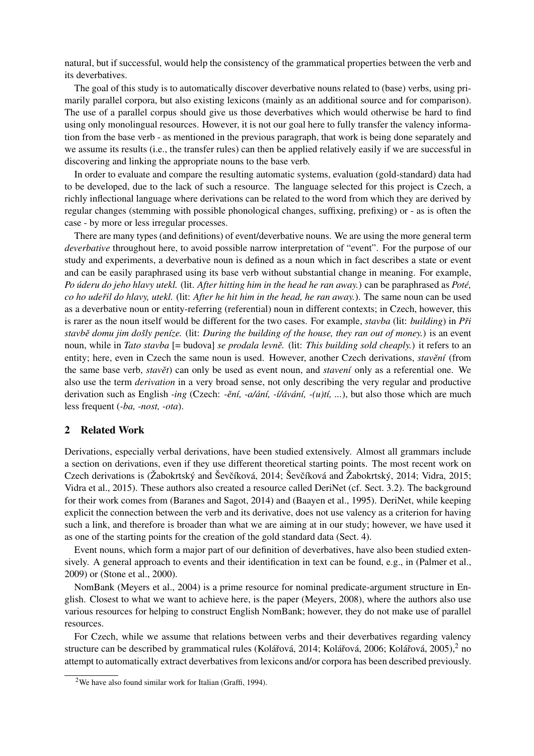natural, but if successful, would help the consistency of the grammatical properties between the verb and its deverbatives.

The goal of this study is to automatically discover deverbative nouns related to (base) verbs, using primarily parallel corpora, but also existing lexicons (mainly as an additional source and for comparison). The use of a parallel corpus should give us those deverbatives which would otherwise be hard to find using only monolingual resources. However, it is not our goal here to fully transfer the valency information from the base verb - as mentioned in the previous paragraph, that work is being done separately and we assume its results (i.e., the transfer rules) can then be applied relatively easily if we are successful in discovering and linking the appropriate nouns to the base verb.

In order to evaluate and compare the resulting automatic systems, evaluation (gold-standard) data had to be developed, due to the lack of such a resource. The language selected for this project is Czech, a richly inflectional language where derivations can be related to the word from which they are derived by regular changes (stemming with possible phonological changes, suffixing, prefixing) or - as is often the case - by more or less irregular processes.

There are many types (and definitions) of event/deverbative nouns. We are using the more general term *deverbative* throughout here, to avoid possible narrow interpretation of "event". For the purpose of our study and experiments, a deverbative noun is defined as a noun which in fact describes a state or event and can be easily paraphrased using its base verb without substantial change in meaning. For example, *Po úderu do jeho hlavy utekl.* (lit. *After hitting him in the head he ran away.*) can be paraphrased as *Poté, co ho udeˇril do hlavy, utekl.* (lit: *After he hit him in the head, he ran away.*). The same noun can be used as a deverbative noun or entity-referring (referential) noun in different contexts; in Czech, however, this is rarer as the noun itself would be different for the two cases. For example, *stavba* (lit: *building*) in *Pˇri stavbˇe domu jim došly peníze.* (lit: *During the building of the house, they ran out of money.*) is an event noun, while in *Tato stavba* [= budova] *se prodala levnˇe.* (lit: *This building sold cheaply.*) it refers to an entity; here, even in Czech the same noun is used. However, another Czech derivations, *stavění* (from the same base verb, *stavět*) can only be used as event noun, and *stavení* only as a referential one. We also use the term *derivation* in a very broad sense, not only describing the very regular and productive derivation such as English *-ing* (Czech: *-ˇení, -a/ání, -í/ávání, -(u)tí, ...*), but also those which are much less frequent (*-ba, -nost, -ota*).

### 2 Related Work

Derivations, especially verbal derivations, have been studied extensively. Almost all grammars include a section on derivations, even if they use different theoretical starting points. The most recent work on Czech derivations is (Žabokrtský and Ševčíková, 2014; Ševčíková and Žabokrtský, 2014; Vidra, 2015; Vidra et al., 2015). These authors also created a resource called DeriNet (cf. Sect. 3.2). The background for their work comes from (Baranes and Sagot, 2014) and (Baayen et al., 1995). DeriNet, while keeping explicit the connection between the verb and its derivative, does not use valency as a criterion for having such a link, and therefore is broader than what we are aiming at in our study; however, we have used it as one of the starting points for the creation of the gold standard data (Sect. 4).

Event nouns, which form a major part of our definition of deverbatives, have also been studied extensively. A general approach to events and their identification in text can be found, e.g., in (Palmer et al., 2009) or (Stone et al., 2000).

NomBank (Meyers et al., 2004) is a prime resource for nominal predicate-argument structure in English. Closest to what we want to achieve here, is the paper (Meyers, 2008), where the authors also use various resources for helping to construct English NomBank; however, they do not make use of parallel resources.

For Czech, while we assume that relations between verbs and their deverbatives regarding valency structure can be described by grammatical rules (Kolářová, 2014; Kolářová, 2006; Kolářová, 2005), $^2$  no attempt to automatically extract deverbatives from lexicons and/or corpora has been described previously.

<sup>2</sup>We have also found similar work for Italian (Graffi, 1994).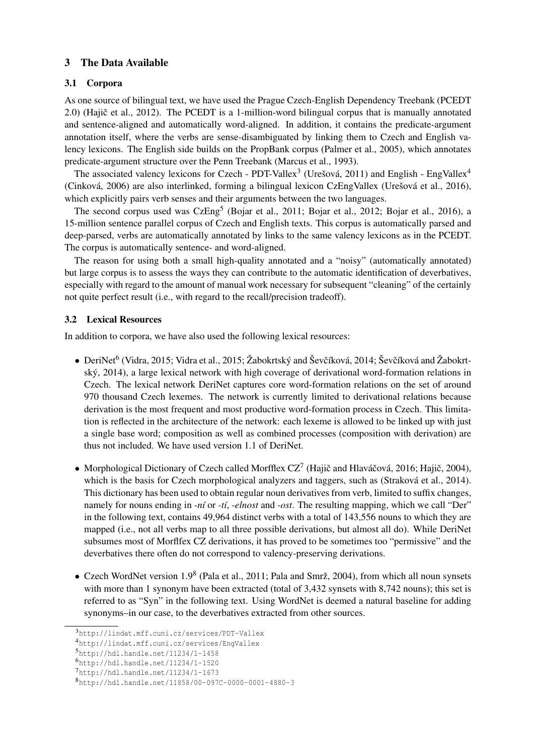## 3 The Data Available

## 3.1 Corpora

As one source of bilingual text, we have used the Prague Czech-English Dependency Treebank (PCEDT 2.0) (Hajič et al., 2012). The PCEDT is a 1-million-word bilingual corpus that is manually annotated and sentence-aligned and automatically word-aligned. In addition, it contains the predicate-argument annotation itself, where the verbs are sense-disambiguated by linking them to Czech and English valency lexicons. The English side builds on the PropBank corpus (Palmer et al., 2005), which annotates predicate-argument structure over the Penn Treebank (Marcus et al., 1993).

The associated valency lexicons for Czech - PDT-Vallex<sup>3</sup> (Urešová, 2011) and English - EngVallex<sup>4</sup> (Cinková, 2006) are also interlinked, forming a bilingual lexicon CzEngVallex (Urešová et al., 2016), which explicitly pairs verb senses and their arguments between the two languages.

The second corpus used was CzEng<sup>5</sup> (Bojar et al., 2011; Bojar et al., 2012; Bojar et al., 2016), a 15-million sentence parallel corpus of Czech and English texts. This corpus is automatically parsed and deep-parsed, verbs are automatically annotated by links to the same valency lexicons as in the PCEDT. The corpus is automatically sentence- and word-aligned.

The reason for using both a small high-quality annotated and a "noisy" (automatically annotated) but large corpus is to assess the ways they can contribute to the automatic identification of deverbatives, especially with regard to the amount of manual work necessary for subsequent "cleaning" of the certainly not quite perfect result (i.e., with regard to the recall/precision tradeoff).

## 3.2 Lexical Resources

In addition to corpora, we have also used the following lexical resources:

- DeriNet $^6$  (Vidra, 2015; Vidra et al., 2015; Žabokrtský and Ševčíková, 2014; Ševčíková and Žabokrtský, 2014), a large lexical network with high coverage of derivational word-formation relations in Czech. The lexical network DeriNet captures core word-formation relations on the set of around 970 thousand Czech lexemes. The network is currently limited to derivational relations because derivation is the most frequent and most productive word-formation process in Czech. This limitation is reflected in the architecture of the network: each lexeme is allowed to be linked up with just a single base word; composition as well as combined processes (composition with derivation) are thus not included. We have used version 1.1 of DeriNet.
- Morphological Dictionary of Czech called Morfflex CZ<sup>7</sup> (Hajič and Hlaváčová, 2016; Hajič, 2004), which is the basis for Czech morphological analyzers and taggers, such as (Straková et al., 2014). This dictionary has been used to obtain regular noun derivatives from verb, limited to suffix changes, namely for nouns ending in *-ní* or *-tí*, *-elnost* and *-ost*. The resulting mapping, which we call "Der" in the following text, contains 49,964 distinct verbs with a total of 143,556 nouns to which they are mapped (i.e., not all verbs map to all three possible derivations, but almost all do). While DeriNet subsumes most of Morflfex CZ derivations, it has proved to be sometimes too "permissive" and the deverbatives there often do not correspond to valency-preserving derivations.
- Czech WordNet version 1.9<sup>8</sup> (Pala et al., 2011; Pala and Smrž, 2004), from which all noun synsets with more than 1 synonym have been extracted (total of 3,432 synsets with 8,742 nouns); this set is referred to as "Syn" in the following text. Using WordNet is deemed a natural baseline for adding synonyms–in our case, to the deverbatives extracted from other sources.

<sup>3</sup>http://lindat.mff.cuni.cz/services/PDT-Vallex

<sup>4</sup>http://lindat.mff.cuni.cz/services/EngVallex

 $5$ http://hdl.handle.net/11234/1-1458

<sup>6</sup>http://hdl.handle.net/11234/1-1520

<sup>7</sup>http://hdl.handle.net/11234/1-1673

<sup>8</sup>http://hdl.handle.net/11858/00-097C-0000-0001-4880-3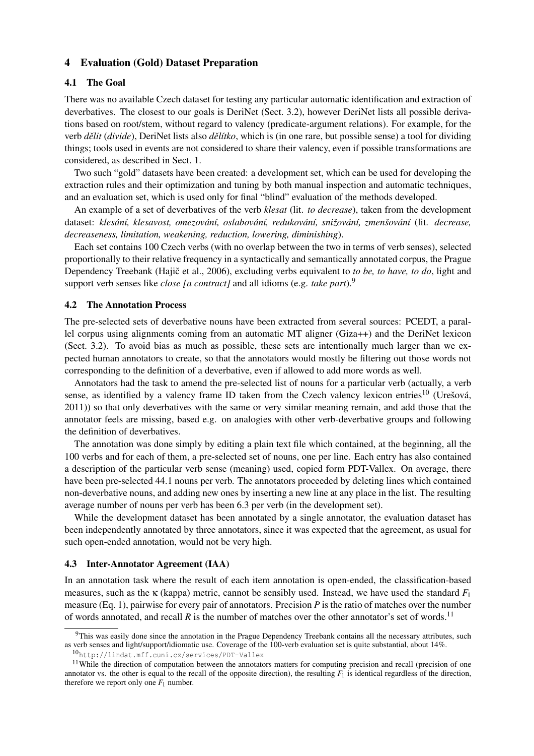#### 4 Evaluation (Gold) Dataset Preparation

#### 4.1 The Goal

There was no available Czech dataset for testing any particular automatic identification and extraction of deverbatives. The closest to our goals is DeriNet (Sect. 3.2), however DeriNet lists all possible derivations based on root/stem, without regard to valency (predicate-argument relations). For example, for the verb *dˇelit* (*divide*), DeriNet lists also *dˇelítko*, which is (in one rare, but possible sense) a tool for dividing things; tools used in events are not considered to share their valency, even if possible transformations are considered, as described in Sect. 1.

Two such "gold" datasets have been created: a development set, which can be used for developing the extraction rules and their optimization and tuning by both manual inspection and automatic techniques, and an evaluation set, which is used only for final "blind" evaluation of the methods developed.

An example of a set of deverbatives of the verb *klesat* (lit. *to decrease*), taken from the development dataset: *klesání, klesavost, omezování, oslabování, redukování, snižování, zmenšování* (lit. *decrease, decreaseness, limitation, weakening, reduction, lowering, diminishing*).

Each set contains 100 Czech verbs (with no overlap between the two in terms of verb senses), selected proportionally to their relative frequency in a syntactically and semantically annotated corpus, the Prague Dependency Treebank (Hajič et al., 2006), excluding verbs equivalent to *to be, to have, to do*, light and support verb senses like *close [a contract]* and all idioms (e.g. *take part*).<sup>9</sup>

#### 4.2 The Annotation Process

The pre-selected sets of deverbative nouns have been extracted from several sources: PCEDT, a parallel corpus using alignments coming from an automatic MT aligner (Giza++) and the DeriNet lexicon (Sect. 3.2). To avoid bias as much as possible, these sets are intentionally much larger than we expected human annotators to create, so that the annotators would mostly be filtering out those words not corresponding to the definition of a deverbative, even if allowed to add more words as well.

Annotators had the task to amend the pre-selected list of nouns for a particular verb (actually, a verb sense, as identified by a valency frame ID taken from the Czech valency lexicon entries<sup>10</sup> (Urešová, 2011)) so that only deverbatives with the same or very similar meaning remain, and add those that the annotator feels are missing, based e.g. on analogies with other verb-deverbative groups and following the definition of deverbatives.

The annotation was done simply by editing a plain text file which contained, at the beginning, all the 100 verbs and for each of them, a pre-selected set of nouns, one per line. Each entry has also contained a description of the particular verb sense (meaning) used, copied form PDT-Vallex. On average, there have been pre-selected 44.1 nouns per verb. The annotators proceeded by deleting lines which contained non-deverbative nouns, and adding new ones by inserting a new line at any place in the list. The resulting average number of nouns per verb has been 6.3 per verb (in the development set).

While the development dataset has been annotated by a single annotator, the evaluation dataset has been independently annotated by three annotators, since it was expected that the agreement, as usual for such open-ended annotation, would not be very high.

#### 4.3 Inter-Annotator Agreement (IAA)

In an annotation task where the result of each item annotation is open-ended, the classification-based measures, such as the κ (kappa) metric, cannot be sensibly used. Instead, we have used the standard *F*<sup>1</sup> measure (Eq. 1), pairwise for every pair of annotators. Precision *P* is the ratio of matches over the number of words annotated, and recall  $R$  is the number of matches over the other annotator's set of words.<sup>11</sup>

<sup>&</sup>lt;sup>9</sup>This was easily done since the annotation in the Prague Dependency Treebank contains all the necessary attributes, such as verb senses and light/support/idiomatic use. Coverage of the 100-verb evaluation set is quite substantial, about 14%.

<sup>10</sup>http://lindat.mff.cuni.cz/services/PDT-Vallex

<sup>&</sup>lt;sup>11</sup>While the direction of computation between the annotators matters for computing precision and recall (precision of one annotator vs. the other is equal to the recall of the opposite direction), the resulting  $F_1$  is identical regardless of the direction, therefore we report only one  $F_1$  number.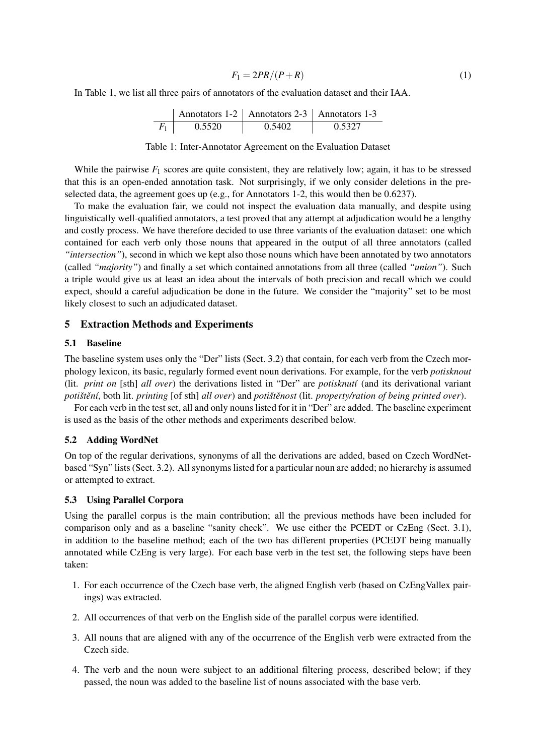$$
F_1 = 2PR/(P+R) \tag{1}
$$

In Table 1, we list all three pairs of annotators of the evaluation dataset and their IAA.

| Annotators 1-2 | Annotators 2-3 | Annotators 1-3 |        |
|----------------|----------------|----------------|--------|
| $F_1$          | 0.5520         | 0.5402         | 0.5327 |

#### Table 1: Inter-Annotator Agreement on the Evaluation Dataset

While the pairwise  $F_1$  scores are quite consistent, they are relatively low; again, it has to be stressed that this is an open-ended annotation task. Not surprisingly, if we only consider deletions in the preselected data, the agreement goes up (e.g., for Annotators 1-2, this would then be 0.6237).

To make the evaluation fair, we could not inspect the evaluation data manually, and despite using linguistically well-qualified annotators, a test proved that any attempt at adjudication would be a lengthy and costly process. We have therefore decided to use three variants of the evaluation dataset: one which contained for each verb only those nouns that appeared in the output of all three annotators (called *"intersection"*), second in which we kept also those nouns which have been annotated by two annotators (called *"majority"*) and finally a set which contained annotations from all three (called *"union"*). Such a triple would give us at least an idea about the intervals of both precision and recall which we could expect, should a careful adjudication be done in the future. We consider the "majority" set to be most likely closest to such an adjudicated dataset.

#### 5 Extraction Methods and Experiments

### 5.1 Baseline

The baseline system uses only the "Der" lists (Sect. 3.2) that contain, for each verb from the Czech morphology lexicon, its basic, regularly formed event noun derivations. For example, for the verb *potisknout* (lit. *print on* [sth] *all over*) the derivations listed in "Der" are *potisknutí* (and its derivational variant *potištění*, both lit. *printing* [of sth] *all over*) and *potištěnost* (lit. *property/ration of being printed over*).

For each verb in the test set, all and only nouns listed for it in "Der" are added. The baseline experiment is used as the basis of the other methods and experiments described below.

## 5.2 Adding WordNet

On top of the regular derivations, synonyms of all the derivations are added, based on Czech WordNetbased "Syn" lists (Sect. 3.2). All synonyms listed for a particular noun are added; no hierarchy is assumed or attempted to extract.

## 5.3 Using Parallel Corpora

Using the parallel corpus is the main contribution; all the previous methods have been included for comparison only and as a baseline "sanity check". We use either the PCEDT or CzEng (Sect. 3.1), in addition to the baseline method; each of the two has different properties (PCEDT being manually annotated while CzEng is very large). For each base verb in the test set, the following steps have been taken:

- 1. For each occurrence of the Czech base verb, the aligned English verb (based on CzEngVallex pairings) was extracted.
- 2. All occurrences of that verb on the English side of the parallel corpus were identified.
- 3. All nouns that are aligned with any of the occurrence of the English verb were extracted from the Czech side.
- 4. The verb and the noun were subject to an additional filtering process, described below; if they passed, the noun was added to the baseline list of nouns associated with the base verb.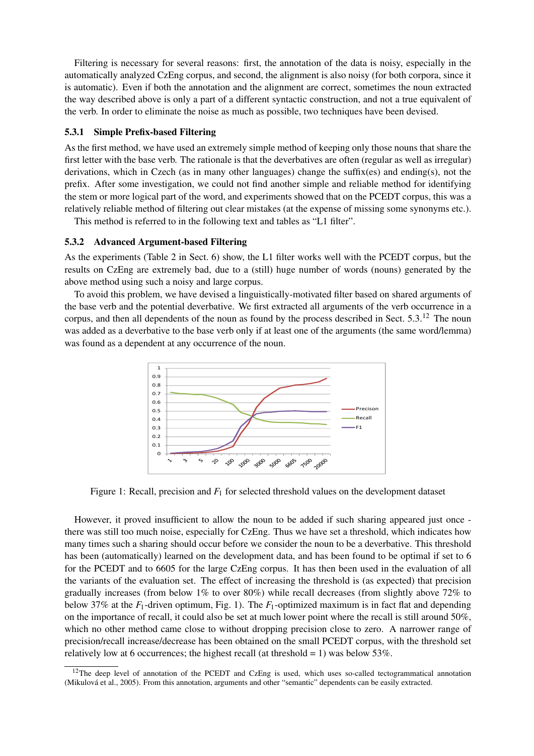Filtering is necessary for several reasons: first, the annotation of the data is noisy, especially in the automatically analyzed CzEng corpus, and second, the alignment is also noisy (for both corpora, since it is automatic). Even if both the annotation and the alignment are correct, sometimes the noun extracted the way described above is only a part of a different syntactic construction, and not a true equivalent of the verb. In order to eliminate the noise as much as possible, two techniques have been devised.

## 5.3.1 Simple Prefix-based Filtering

As the first method, we have used an extremely simple method of keeping only those nouns that share the first letter with the base verb. The rationale is that the deverbatives are often (regular as well as irregular) derivations, which in Czech (as in many other languages) change the suffix(es) and ending(s), not the prefix. After some investigation, we could not find another simple and reliable method for identifying the stem or more logical part of the word, and experiments showed that on the PCEDT corpus, this was a relatively reliable method of filtering out clear mistakes (at the expense of missing some synonyms etc.).

This method is referred to in the following text and tables as "L1 filter".

## 5.3.2 Advanced Argument-based Filtering

As the experiments (Table 2 in Sect. 6) show, the L1 filter works well with the PCEDT corpus, but the results on CzEng are extremely bad, due to a (still) huge number of words (nouns) generated by the above method using such a noisy and large corpus.

To avoid this problem, we have devised a linguistically-motivated filter based on shared arguments of the base verb and the potential deverbative. We first extracted all arguments of the verb occurrence in a corpus, and then all dependents of the noun as found by the process described in Sect. 5.3.<sup>12</sup> The noun was added as a deverbative to the base verb only if at least one of the arguments (the same word/lemma) was found as a dependent at any occurrence of the noun.



Figure 1: Recall, precision and  $F_1$  for selected threshold values on the development dataset

However, it proved insufficient to allow the noun to be added if such sharing appeared just once there was still too much noise, especially for CzEng. Thus we have set a threshold, which indicates how many times such a sharing should occur before we consider the noun to be a deverbative. This threshold has been (automatically) learned on the development data, and has been found to be optimal if set to 6 for the PCEDT and to 6605 for the large CzEng corpus. It has then been used in the evaluation of all the variants of the evaluation set. The effect of increasing the threshold is (as expected) that precision gradually increases (from below 1% to over 80%) while recall decreases (from slightly above 72% to below 37% at the *F*1-driven optimum, Fig. 1). The *F*1-optimized maximum is in fact flat and depending on the importance of recall, it could also be set at much lower point where the recall is still around 50%, which no other method came close to without dropping precision close to zero. A narrower range of precision/recall increase/decrease has been obtained on the small PCEDT corpus, with the threshold set relatively low at 6 occurrences; the highest recall (at threshold  $= 1$ ) was below 53%.

 $12$ The deep level of annotation of the PCEDT and CzEng is used, which uses so-called tectogrammatical annotation (Mikulová et al., 2005). From this annotation, arguments and other "semantic" dependents can be easily extracted.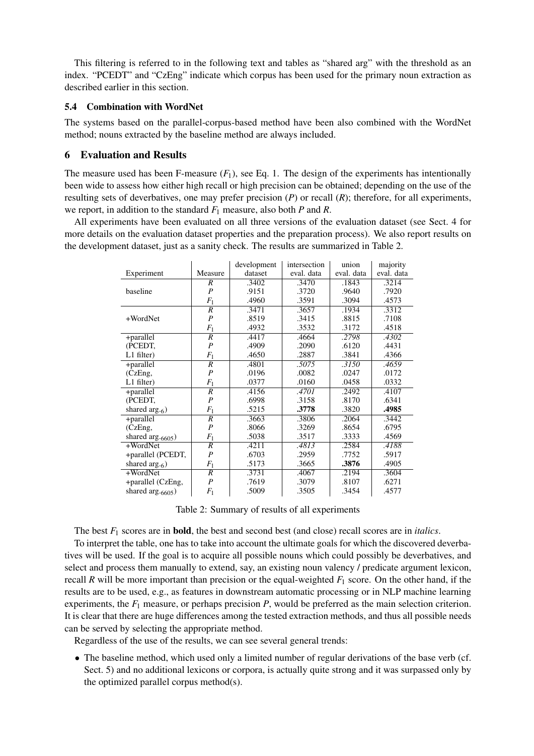This filtering is referred to in the following text and tables as "shared arg" with the threshold as an index. "PCEDT" and "CzEng" indicate which corpus has been used for the primary noun extraction as described earlier in this section.

## 5.4 Combination with WordNet

The systems based on the parallel-corpus-based method have been also combined with the WordNet method; nouns extracted by the baseline method are always included.

## 6 Evaluation and Results

The measure used has been F-measure  $(F_1)$ , see Eq. 1. The design of the experiments has intentionally been wide to assess how either high recall or high precision can be obtained; depending on the use of the resulting sets of deverbatives, one may prefer precision (*P*) or recall (*R*); therefore, for all experiments, we report, in addition to the standard *F*<sup>1</sup> measure, also both *P* and *R*.

All experiments have been evaluated on all three versions of the evaluation dataset (see Sect. 4 for more details on the evaluation dataset properties and the preparation process). We also report results on the development dataset, just as a sanity check. The results are summarized in Table 2.

|                               |                  | development | intersection | union      | majority   |
|-------------------------------|------------------|-------------|--------------|------------|------------|
| Experiment                    | Measure          | dataset     | eval. data   | eval. data | eval. data |
|                               | R                | .3402       | .3470        | .1843      | .3214      |
| baseline                      | $\overline{P}$   | .9151       | .3720        | .9640      | .7920      |
|                               | $F_1$            | .4960       | .3591        | .3094      | .4573      |
|                               | $\overline{R}$   | .3471       | .3657        | .1934      | .3312      |
| +WordNet                      | $\overline{P}$   | .8519       | .3415        | .8815      | .7108      |
|                               | $F_1$            | .4932       | .3532        | .3172      | .4518      |
| +parallel                     | $\overline{R}$   | .4417       | .4664        | .2798      | .4302      |
| (PCEDT,                       | $\boldsymbol{P}$ | .4909       | .2090        | .6120      | .4431      |
| $L1$ filter)                  | $F_1$            | .4650       | .2887        | .3841      | .4366      |
| +parallel                     | R                | .4801       | .5075        | .3150      | .4659      |
| (CzEng,                       | $\overline{P}$   | .0196       | .0082        | .0247      | .0172      |
| $L1$ filter)                  | $F_1$            | .0377       | .0160        | .0458      | .0332      |
| +parallel                     | $\overline{R}$   | .4156       | .4701        | .2492      | .4107      |
| (PCEDT,                       | $\boldsymbol{P}$ | .6998       | .3158        | .8170      | .6341      |
| shared arg. <sub>6</sub> )    | $F_1$            | .5215       | .3778        | .3820      | .4985      |
| +parallel                     | $\overline{R}$   | .3663       | .3806        | .2064      | .3442      |
| (CzEng,                       | $\overline{P}$   | .8066       | .3269        | .8654      | .6795      |
| shared arg. <sub>6605</sub> ) | $F_1$            | .5038       | .3517        | .3333      | .4569      |
| +WordNet                      | $\overline{R}$   | .4211       | .4813        | .2584      | .4188      |
| +parallel (PCEDT,             | $\overline{P}$   | .6703       | .2959        | .7752      | .5917      |
| shared arg. <sub>6</sub> )    | $F_1$            | .5173       | .3665        | .3876      | .4905      |
| +WordNet                      | $\overline{R}$   | .3731       | .4067        | .2194      | .3604      |
| +parallel (CzEng,             | $\overline{P}$   | .7619       | .3079        | .8107      | .6271      |
| shared arg. <sub>6605</sub> ) | $F_1$            | .5009       | .3505        | .3454      | .4577      |

Table 2: Summary of results of all experiments

The best *F*<sup>1</sup> scores are in bold, the best and second best (and close) recall scores are in *italics*.

To interpret the table, one has to take into account the ultimate goals for which the discovered deverbatives will be used. If the goal is to acquire all possible nouns which could possibly be deverbatives, and select and process them manually to extend, say, an existing noun valency / predicate argument lexicon, recall *R* will be more important than precision or the equal-weighted  $F_1$  score. On the other hand, if the results are to be used, e.g., as features in downstream automatic processing or in NLP machine learning experiments, the *F*<sup>1</sup> measure, or perhaps precision *P*, would be preferred as the main selection criterion. It is clear that there are huge differences among the tested extraction methods, and thus all possible needs can be served by selecting the appropriate method.

Regardless of the use of the results, we can see several general trends:

• The baseline method, which used only a limited number of regular derivations of the base verb (cf. Sect. 5) and no additional lexicons or corpora, is actually quite strong and it was surpassed only by the optimized parallel corpus method(s).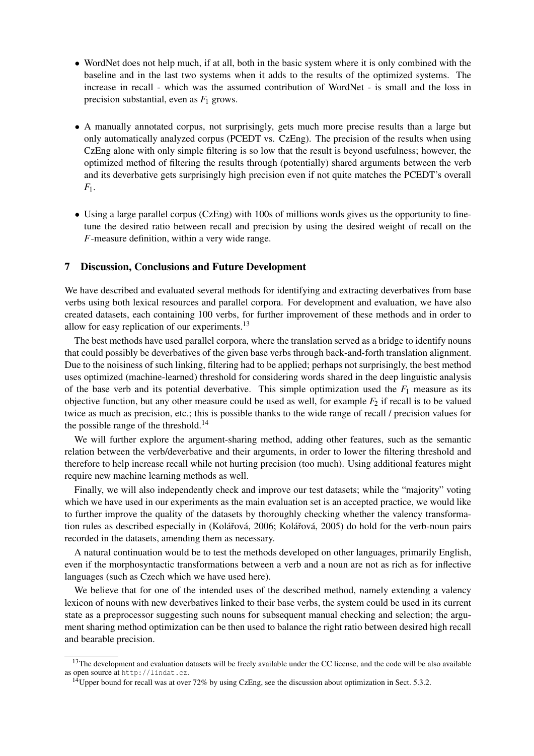- WordNet does not help much, if at all, both in the basic system where it is only combined with the baseline and in the last two systems when it adds to the results of the optimized systems. The increase in recall - which was the assumed contribution of WordNet - is small and the loss in precision substantial, even as  $F_1$  grows.
- A manually annotated corpus, not surprisingly, gets much more precise results than a large but only automatically analyzed corpus (PCEDT vs. CzEng). The precision of the results when using CzEng alone with only simple filtering is so low that the result is beyond usefulness; however, the optimized method of filtering the results through (potentially) shared arguments between the verb and its deverbative gets surprisingly high precision even if not quite matches the PCEDT's overall *F*1.
- Using a large parallel corpus (CzEng) with 100s of millions words gives us the opportunity to finetune the desired ratio between recall and precision by using the desired weight of recall on the *F*-measure definition, within a very wide range.

### 7 Discussion, Conclusions and Future Development

We have described and evaluated several methods for identifying and extracting deverbatives from base verbs using both lexical resources and parallel corpora. For development and evaluation, we have also created datasets, each containing 100 verbs, for further improvement of these methods and in order to allow for easy replication of our experiments.<sup>13</sup>

The best methods have used parallel corpora, where the translation served as a bridge to identify nouns that could possibly be deverbatives of the given base verbs through back-and-forth translation alignment. Due to the noisiness of such linking, filtering had to be applied; perhaps not surprisingly, the best method uses optimized (machine-learned) threshold for considering words shared in the deep linguistic analysis of the base verb and its potential deverbative. This simple optimization used the  $F_1$  measure as its objective function, but any other measure could be used as well, for example  $F_2$  if recall is to be valued twice as much as precision, etc.; this is possible thanks to the wide range of recall / precision values for the possible range of the threshold.<sup>14</sup>

We will further explore the argument-sharing method, adding other features, such as the semantic relation between the verb/deverbative and their arguments, in order to lower the filtering threshold and therefore to help increase recall while not hurting precision (too much). Using additional features might require new machine learning methods as well.

Finally, we will also independently check and improve our test datasets; while the "majority" voting which we have used in our experiments as the main evaluation set is an accepted practice, we would like to further improve the quality of the datasets by thoroughly checking whether the valency transformation rules as described especially in (Kolářová, 2006; Kolářová, 2005) do hold for the verb-noun pairs recorded in the datasets, amending them as necessary.

A natural continuation would be to test the methods developed on other languages, primarily English, even if the morphosyntactic transformations between a verb and a noun are not as rich as for inflective languages (such as Czech which we have used here).

We believe that for one of the intended uses of the described method, namely extending a valency lexicon of nouns with new deverbatives linked to their base verbs, the system could be used in its current state as a preprocessor suggesting such nouns for subsequent manual checking and selection; the argument sharing method optimization can be then used to balance the right ratio between desired high recall and bearable precision.

 $13$ The development and evaluation datasets will be freely available under the CC license, and the code will be also available as open source at http://lindat.cz.

<sup>&</sup>lt;sup>14</sup>Upper bound for recall was at over 72% by using CzEng, see the discussion about optimization in Sect. 5.3.2.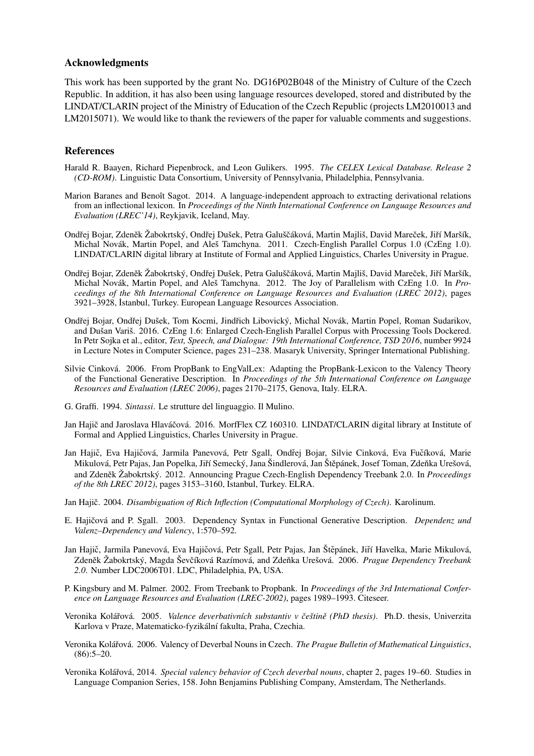### Acknowledgments

This work has been supported by the grant No. DG16P02B048 of the Ministry of Culture of the Czech Republic. In addition, it has also been using language resources developed, stored and distributed by the LINDAT/CLARIN project of the Ministry of Education of the Czech Republic (projects LM2010013 and LM2015071). We would like to thank the reviewers of the paper for valuable comments and suggestions.

### References

- Harald R. Baayen, Richard Piepenbrock, and Leon Gulikers. 1995. *The CELEX Lexical Database. Release 2 (CD-ROM)*. Linguistic Data Consortium, University of Pennsylvania, Philadelphia, Pennsylvania.
- Marion Baranes and Benoît Sagot. 2014. A language-independent approach to extracting derivational relations from an inflectional lexicon. In *Proceedings of the Ninth International Conference on Language Resources and Evaluation (LREC'14)*, Reykjavik, Iceland, May.
- Ondřej Bojar, Zdeněk Žabokrtský, Ondřej Dušek, Petra Galuščáková, Martin Majliš, David Mareček, Jiří Maršík, Michal Novák, Martin Popel, and Aleš Tamchyna. 2011. Czech-English Parallel Corpus 1.0 (CzEng 1.0). LINDAT/CLARIN digital library at Institute of Formal and Applied Linguistics, Charles University in Prague.
- Ondřej Bojar, Zdeněk Žabokrtský, Ondřej Dušek, Petra Galuščáková, Martin Majliš, David Mareček, Jiří Maršík, Michal Novák, Martin Popel, and Aleš Tamchyna. 2012. The Joy of Parallelism with CzEng 1.0. In *Proceedings of the 8th International Conference on Language Resources and Evaluation (LREC 2012)*, pages 3921–3928, ˙Istanbul, Turkey. European Language Resources Association.
- Ondřej Bojar, Ondřej Dušek, Tom Kocmi, Jindřich Libovický, Michal Novák, Martin Popel, Roman Sudarikov, and Dušan Variš. 2016. CzEng 1.6: Enlarged Czech-English Parallel Corpus with Processing Tools Dockered. In Petr Sojka et al., editor, *Text, Speech, and Dialogue: 19th International Conference, TSD 2016*, number 9924 in Lecture Notes in Computer Science, pages 231–238. Masaryk University, Springer International Publishing.
- Silvie Cinková. 2006. From PropBank to EngValLex: Adapting the PropBank-Lexicon to the Valency Theory of the Functional Generative Description. In *Proceedings of the 5th International Conference on Language Resources and Evaluation (LREC 2006)*, pages 2170–2175, Genova, Italy. ELRA.
- G. Graffi. 1994. *Sintassi*. Le strutture del linguaggio. Il Mulino.
- Jan Hajič and Jaroslava Hlaváčová. 2016. MorfFlex CZ 160310. LINDAT/CLARIN digital library at Institute of Formal and Applied Linguistics, Charles University in Prague.
- Jan Hajič, Eva Hajičová, Jarmila Panevová, Petr Sgall, Ondřej Bojar, Silvie Cinková, Eva Fučíková, Marie Mikulová, Petr Pajas, Jan Popelka, Jiří Semecký, Jana Šindlerová, Jan Štěpánek, Josef Toman, Zdeňka Urešová, and Zdeněk Žabokrtský. 2012. Announcing Prague Czech-English Dependency Treebank 2.0. In *Proceedings of the 8th LREC 2012)*, pages 3153–3160, Istanbul, Turkey. ELRA.
- Jan Hajič. 2004. *Disambiguation of Rich Inflection (Computational Morphology of Czech)*. Karolinum.
- E. Hajičová and P. Sgall. 2003. Dependency Syntax in Functional Generative Description. *Dependenz und Valenz–Dependency and Valency*, 1:570–592.
- Jan Hajič, Jarmila Panevová, Eva Hajičová, Petr Sgall, Petr Pajas, Jan Štěpánek, Jiří Havelka, Marie Mikulová, Zdeněk Žabokrtský, Magda Ševčíková Razímová, and Zdeňka Urešová. 2006. Prague Dependency Treebank *2.0*. Number LDC2006T01. LDC, Philadelphia, PA, USA.
- P. Kingsbury and M. Palmer. 2002. From Treebank to Propbank. In *Proceedings of the 3rd International Conference on Language Resources and Evaluation (LREC-2002)*, pages 1989–1993. Citeseer.
- Veronika Kolářová. 2005. *Valence deverbativních substantiv v češtině (PhD thesis)*. Ph.D. thesis, Univerzita Karlova v Praze, Matematicko-fyzikální fakulta, Praha, Czechia.
- Veronika Koláˇrová. 2006. Valency of Deverbal Nouns in Czech. *The Prague Bulletin of Mathematical Linguistics*,  $(86):5-20.$
- Veronika Koláˇrová, 2014. *Special valency behavior of Czech deverbal nouns*, chapter 2, pages 19–60. Studies in Language Companion Series, 158. John Benjamins Publishing Company, Amsterdam, The Netherlands.